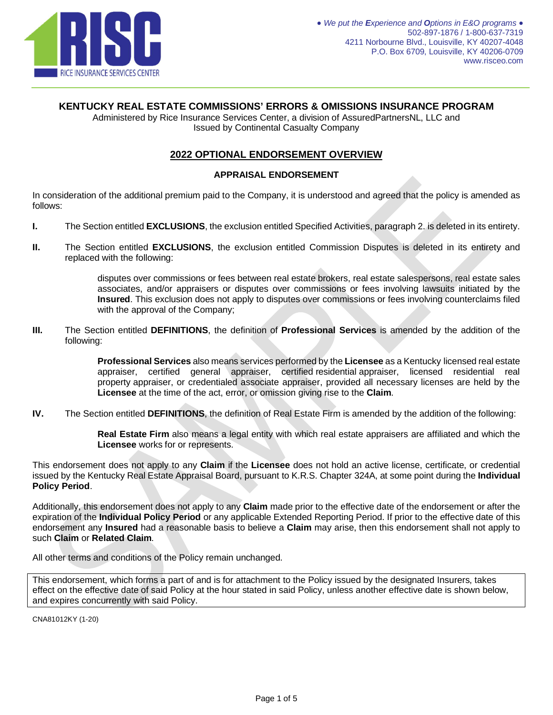

# **KENTUCKY REAL ESTATE COMMISSIONS' ERRORS & OMISSIONS INSURANCE PROGRAM**

Administered by Rice Insurance Services Center, a division of AssuredPartnersNL, LLC and Issued by Continental Casualty Company

# **2022 OPTIONAL ENDORSEMENT OVERVIEW**

# **APPRAISAL ENDORSEMENT**

In consideration of the additional premium paid to the Company, it is understood and agreed that the policy is amended as follows:

- **I.** The Section entitled **EXCLUSIONS**, the exclusion entitled Specified Activities, paragraph 2. is deleted in its entirety.
- **II.** The Section entitled **EXCLUSIONS**, the exclusion entitled Commission Disputes is deleted in its entirety and replaced with the following:

disputes over commissions or fees between real estate brokers, real estate salespersons, real estate sales associates, and/or appraisers or disputes over commissions or fees involving lawsuits initiated by the **Insured**. This exclusion does not apply to disputes over commissions or fees involving counterclaims filed with the approval of the Company;

**III.** The Section entitled **DEFINITIONS**, the definition of **Professional Services** is amended by the addition of the following:

> **Professional Services** also means services performed by the **Licensee** as a Kentucky licensed real estate appraiser, certified general appraiser, certified residential appraiser, licensed residential real property appraiser, or credentialed associate appraiser, provided all necessary licenses are held by the **Licensee** at the time of the act, error, or omission giving rise to the **Claim**.

**IV.** The Section entitled **DEFINITIONS**, the definition of Real Estate Firm is amended by the addition of the following:

**Real Estate Firm** also means a legal entity with which real estate appraisers are affiliated and which the **Licensee** works for or represents.

This endorsement does not apply to any **Claim** if the **Licensee** does not hold an active license, certificate, or credential issued by the Kentucky Real Estate Appraisal Board, pursuant to K.R.S. Chapter 324A, at some point during the **Individual Policy Period**.

Additionally, this endorsement does not apply to any **Claim** made prior to the effective date of the endorsement or after the expiration of the **Individual Policy Period** or any applicable Extended Reporting Period. If prior to the effective date of this endorsement any **Insured** had a reasonable basis to believe a **Claim** may arise, then this endorsement shall not apply to such **Claim** or **Related Claim**.

All other terms and conditions of the Policy remain unchanged.

This endorsement, which forms a part of and is for attachment to the Policy issued by the designated Insurers, takes effect on the effective date of said Policy at the hour stated in said Policy, unless another effective date is shown below, and expires concurrently with said Policy.

CNA81012KY (1-20)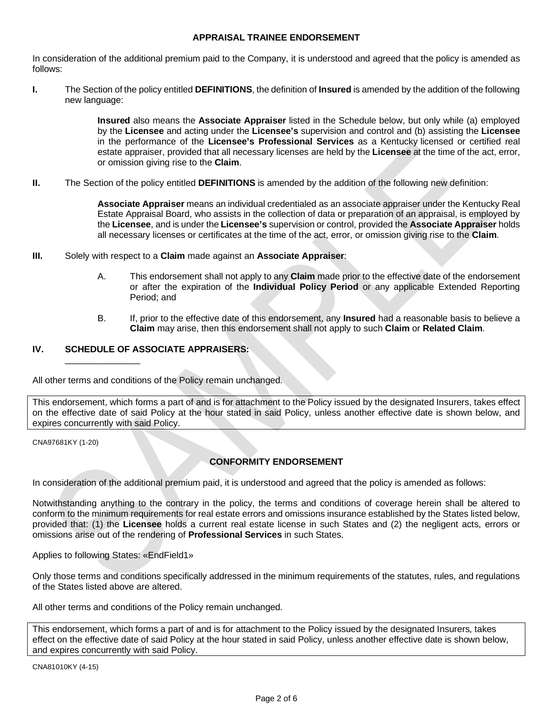#### **APPRAISAL TRAINEE ENDORSEMENT**

In consideration of the additional premium paid to the Company, it is understood and agreed that the policy is amended as follows:

**I.** The Section of the policy entitled **DEFINITIONS**, the definition of **Insured** is amended by the addition of the following new language:

> **Insured** also means the **Associate Appraiser** listed in the Schedule below, but only while (a) employed by the **Licensee** and acting under the **Licensee's** supervision and control and (b) assisting the **Licensee** in the performance of the **Licensee's Professional Services** as a Kentucky licensed or certified real estate appraiser, provided that all necessary licenses are held by the **Licensee** at the time of the act, error, or omission giving rise to the **Claim**.

**II.** The Section of the policy entitled **DEFINITIONS** is amended by the addition of the following new definition:

**Associate Appraiser** means an individual credentialed as an associate appraiser under the Kentucky Real Estate Appraisal Board, who assists in the collection of data or preparation of an appraisal, is employed by the **Licensee**, and is under the **Licensee's** supervision or control, provided the **Associate Appraiser** holds all necessary licenses or certificates at the time of the act, error, or omission giving rise to the **Claim**.

- **III.** Solely with respect to a **Claim** made against an **Associate Appraiser**:
	- A. This endorsement shall not apply to any **Claim** made prior to the effective date of the endorsement or after the expiration of the **Individual Policy Period** or any applicable Extended Reporting Period; and
	- B. If, prior to the effective date of this endorsement, any **Insured** had a reasonable basis to believe a **Claim** may arise, then this endorsement shall not apply to such **Claim** or **Related Claim**.

# **IV. SCHEDULE OF ASSOCIATE APPRAISERS:**

\_\_\_\_\_\_\_\_\_\_\_\_\_\_\_

All other terms and conditions of the Policy remain unchanged.

This endorsement, which forms a part of and is for attachment to the Policy issued by the designated Insurers, takes effect on the effective date of said Policy at the hour stated in said Policy, unless another effective date is shown below, and expires concurrently with said Policy.

CNA97681KY (1-20)

# **CONFORMITY ENDORSEMENT**

In consideration of the additional premium paid, it is understood and agreed that the policy is amended as follows:

Notwithstanding anything to the contrary in the policy, the terms and conditions of coverage herein shall be altered to conform to the minimum requirements for real estate errors and omissions insurance established by the States listed below, provided that: (1) the **Licensee** holds a current real estate license in such States and (2) the negligent acts, errors or omissions arise out of the rendering of **Professional Services** in such States.

Applies to following States: «EndField1»

Only those terms and conditions specifically addressed in the minimum requirements of the statutes, rules, and regulations of the States listed above are altered.

All other terms and conditions of the Policy remain unchanged.

This endorsement, which forms a part of and is for attachment to the Policy issued by the designated Insurers, takes effect on the effective date of said Policy at the hour stated in said Policy, unless another effective date is shown below, and expires concurrently with said Policy.

CNA81010KY (4-15)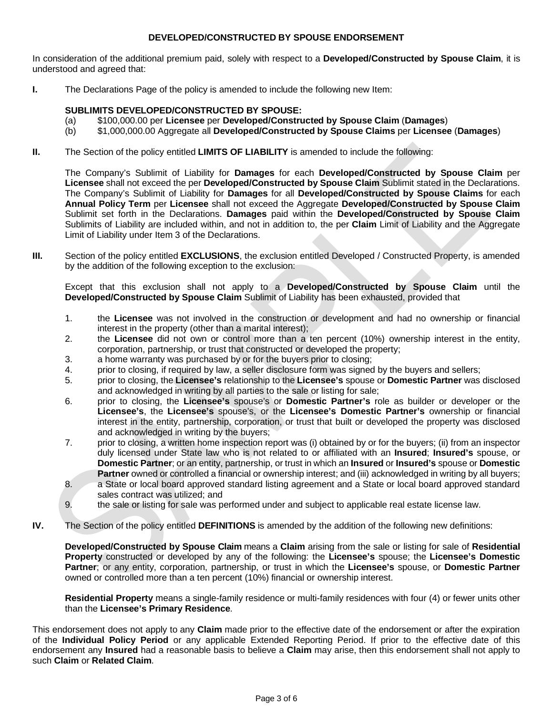### **DEVELOPED/CONSTRUCTED BY SPOUSE ENDORSEMENT**

In consideration of the additional premium paid, solely with respect to a **Developed/Constructed by Spouse Claim**, it is understood and agreed that:

**I.** The Declarations Page of the policy is amended to include the following new Item:

### **SUBLIMITS DEVELOPED/CONSTRUCTED BY SPOUSE:**

- (a) \$100,000.00 per **Licensee** per **Developed/Constructed by Spouse Claim** (**Damages**)
- (b) \$1,000,000.00 Aggregate all **Developed/Constructed by Spouse Claims** per **Licensee** (**Damages**)
- **II.** The Section of the policy entitled **LIMITS OF LIABILITY** is amended to include the following:

The Company's Sublimit of Liability for **Damages** for each **Developed/Constructed by Spouse Claim** per **Licensee** shall not exceed the per **Developed/Constructed by Spouse Claim** Sublimit stated in the Declarations. The Company's Sublimit of Liability for **Damages** for all **Developed/Constructed by Spouse Claims** for each **Annual Policy Term** per **Licensee** shall not exceed the Aggregate **Developed/Constructed by Spouse Claim** Sublimit set forth in the Declarations. **Damages** paid within the **Developed/Constructed by Spouse Claim** Sublimits of Liability are included within, and not in addition to, the per **Claim** Limit of Liability and the Aggregate Limit of Liability under Item 3 of the Declarations.

**III.** Section of the policy entitled **EXCLUSIONS**, the exclusion entitled Developed / Constructed Property, is amended by the addition of the following exception to the exclusion:

Except that this exclusion shall not apply to a **Developed/Constructed by Spouse Claim** until the **Developed/Constructed by Spouse Claim** Sublimit of Liability has been exhausted, provided that

- 1. the **Licensee** was not involved in the construction or development and had no ownership or financial interest in the property (other than a marital interest);
- 2. the **Licensee** did not own or control more than a ten percent (10%) ownership interest in the entity, corporation, partnership, or trust that constructed or developed the property;
- 3. a home warranty was purchased by or for the buyers prior to closing;
- 4. prior to closing, if required by law, a seller disclosure form was signed by the buyers and sellers;
- 5. prior to closing, the **Licensee's** relationship to the **Licensee's** spouse or **Domestic Partner** was disclosed and acknowledged in writing by all parties to the sale or listing for sale;
- 6. prior to closing, the **Licensee's** spouse's or **Domestic Partner's** role as builder or developer or the **Licensee's**, the **Licensee's** spouse's, or the **Licensee's Domestic Partner's** ownership or financial interest in the entity, partnership, corporation, or trust that built or developed the property was disclosed and acknowledged in writing by the buyers;
- 7. prior to closing, a written home inspection report was (i) obtained by or for the buyers; (ii) from an inspector duly licensed under State law who is not related to or affiliated with an **Insured**; **Insured's** spouse, or **Domestic Partner**; or an entity, partnership, or trust in which an **Insured** or **Insured's** spouse or **Domestic Partner** owned or controlled a financial or ownership interest; and (iii) acknowledged in writing by all buyers;
- 8. a State or local board approved standard listing agreement and a State or local board approved standard sales contract was utilized; and
- 9. the sale or listing for sale was performed under and subject to applicable real estate license law.
- **IV.** The Section of the policy entitled **DEFINITIONS** is amended by the addition of the following new definitions:

**Developed/Constructed by Spouse Claim** means a **Claim** arising from the sale or listing for sale of **Residential Property** constructed or developed by any of the following: the **Licensee's** spouse; the **Licensee's Domestic Partner**; or any entity, corporation, partnership, or trust in which the **Licensee's** spouse, or **Domestic Partner** owned or controlled more than a ten percent (10%) financial or ownership interest.

**Residential Property** means a single-family residence or multi-family residences with four (4) or fewer units other than the **Licensee's Primary Residence**.

This endorsement does not apply to any **Claim** made prior to the effective date of the endorsement or after the expiration of the **Individual Policy Period** or any applicable Extended Reporting Period. If prior to the effective date of this endorsement any **Insured** had a reasonable basis to believe a **Claim** may arise, then this endorsement shall not apply to such **Claim** or **Related Claim**.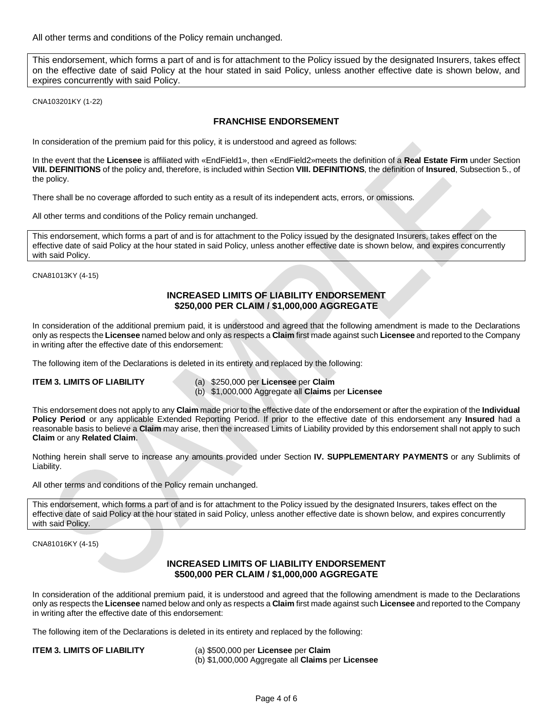All other terms and conditions of the Policy remain unchanged.

This endorsement, which forms a part of and is for attachment to the Policy issued by the designated Insurers, takes effect on the effective date of said Policy at the hour stated in said Policy, unless another effective date is shown below, and expires concurrently with said Policy.

CNA103201KY (1-22)

#### **FRANCHISE ENDORSEMENT**

In consideration of the premium paid for this policy, it is understood and agreed as follows:

In the event that the **Licensee** is affiliated with «EndField1», then «EndField2»meets the definition of a **Real Estate Firm** under Section **VIII. DEFINITIONS** of the policy and, therefore, is included within Section **VIII. DEFINITIONS**, the definition of **Insured**, Subsection 5., of the policy.

There shall be no coverage afforded to such entity as a result of its independent acts, errors, or omissions.

All other terms and conditions of the Policy remain unchanged.

This endorsement, which forms a part of and is for attachment to the Policy issued by the designated Insurers, takes effect on the effective date of said Policy at the hour stated in said Policy, unless another effective date is shown below, and expires concurrently with said Policy.

CNA81013KY (4-15)

#### **INCREASED LIMITS OF LIABILITY ENDORSEMENT \$250,000 PER CLAIM / \$1,000,000 AGGREGATE**

In consideration of the additional premium paid, it is understood and agreed that the following amendment is made to the Declarations only as respects the **Licensee** named below and only as respects a **Claim** first made against such **Licensee** and reported to the Company in writing after the effective date of this endorsement:

The following item of the Declarations is deleted in its entirety and replaced by the following:

**ITEM 3. LIMITS OF LIABILITY** (a) \$250,000 per **Licensee** per **Claim** (b) \$1,000,000 Aggregate all **Claims** per **Licensee**

This endorsement does not apply to any **Claim** made prior to the effective date of the endorsement or after the expiration of the **Individual Policy Period** or any applicable Extended Reporting Period. If prior to the effective date of this endorsement any **Insured** had a reasonable basis to believe a **Claim** may arise, then the increased Limits of Liability provided by this endorsement shall not apply to such **Claim** or any **Related Claim**.

Nothing herein shall serve to increase any amounts provided under Section **IV. SUPPLEMENTARY PAYMENTS** or any Sublimits of Liability.

All other terms and conditions of the Policy remain unchanged.

This endorsement, which forms a part of and is for attachment to the Policy issued by the designated Insurers, takes effect on the effective date of said Policy at the hour stated in said Policy, unless another effective date is shown below, and expires concurrently with said Policy.

CNA81016KY (4-15)

### **INCREASED LIMITS OF LIABILITY ENDORSEMENT \$500,000 PER CLAIM / \$1,000,000 AGGREGATE**

In consideration of the additional premium paid, it is understood and agreed that the following amendment is made to the Declarations only as respects the **Licensee** named below and only as respects a **Claim** first made against such **Licensee** and reported to the Company in writing after the effective date of this endorsement:

The following item of the Declarations is deleted in its entirety and replaced by the following:

**ITEM 3. LIMITS OF LIABILITY** (a) \$500,000 per **Licensee** per **Claim** (b) \$1,000,000 Aggregate all **Claims** per **Licensee**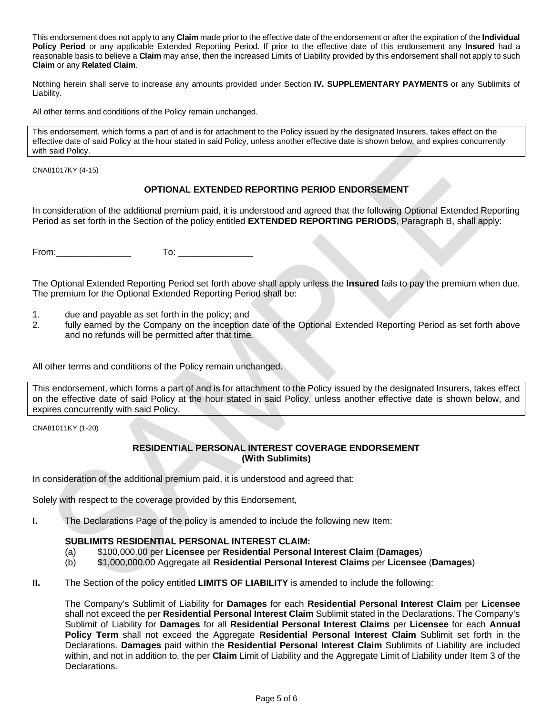This endorsement does not apply to any **Claim** made prior to the effective date of the endorsement or after the expiration of the **Individual Policy Period** or any applicable Extended Reporting Period. If prior to the effective date of this endorsement any **Insured** had a reasonable basis to believe a **Claim** may arise, then the increased Limits of Liability provided by this endorsement shall not apply to such **Claim** or any **Related Claim**.

Nothing herein shall serve to increase any amounts provided under Section **IV. SUPPLEMENTARY PAYMENTS** or any Sublimits of Liability.

All other terms and conditions of the Policy remain unchanged.

This endorsement, which forms a part of and is for attachment to the Policy issued by the designated Insurers, takes effect on the effective date of said Policy at the hour stated in said Policy, unless another effective date is shown below, and expires concurrently with said Policy.

CNA81017KY (4-15)

# **OPTIONAL EXTENDED REPORTING PERIOD ENDORSEMENT**

In consideration of the additional premium paid, it is understood and agreed that the following Optional Extended Reporting Period as set forth in the Section of the policy entitled **EXTENDED REPORTING PERIODS**, Paragraph B, shall apply:

From:\_\_\_\_\_\_\_\_\_\_\_\_\_\_\_ To: \_\_\_\_\_\_\_\_\_\_\_\_\_\_\_

The Optional Extended Reporting Period set forth above shall apply unless the **Insured** fails to pay the premium when due. The premium for the Optional Extended Reporting Period shall be:

- 1. due and payable as set forth in the policy; and
- 2. fully earned by the Company on the inception date of the Optional Extended Reporting Period as set forth above and no refunds will be permitted after that time.

All other terms and conditions of the Policy remain unchanged.

This endorsement, which forms a part of and is for attachment to the Policy issued by the designated Insurers, takes effect on the effective date of said Policy at the hour stated in said Policy, unless another effective date is shown below, and expires concurrently with said Policy.

CNA81011KY (1-20)

### **RESIDENTIAL PERSONAL INTEREST COVERAGE ENDORSEMENT (With Sublimits)**

In consideration of the additional premium paid, it is understood and agreed that:

Solely with respect to the coverage provided by this Endorsement,

**I.** The Declarations Page of the policy is amended to include the following new Item:

# **SUBLIMITS RESIDENTIAL PERSONAL INTEREST CLAIM:**

- (a) \$100,000.00 per **Licensee** per **Residential Personal Interest Claim** (**Damages**)
- (b) \$1,000,000.00 Aggregate all **Residential Personal Interest Claims** per **Licensee** (**Damages**)
- **II.** The Section of the policy entitled **LIMITS OF LIABILITY** is amended to include the following:

The Company's Sublimit of Liability for **Damages** for each **Residential Personal Interest Claim** per **Licensee** shall not exceed the per **Residential Personal Interest Claim** Sublimit stated in the Declarations. The Company's Sublimit of Liability for **Damages** for all **Residential Personal Interest Claims** per **Licensee** for each **Annual Policy Term** shall not exceed the Aggregate **Residential Personal Interest Claim** Sublimit set forth in the Declarations. **Damages** paid within the **Residential Personal Interest Claim** Sublimits of Liability are included within, and not in addition to, the per **Claim** Limit of Liability and the Aggregate Limit of Liability under Item 3 of the Declarations.